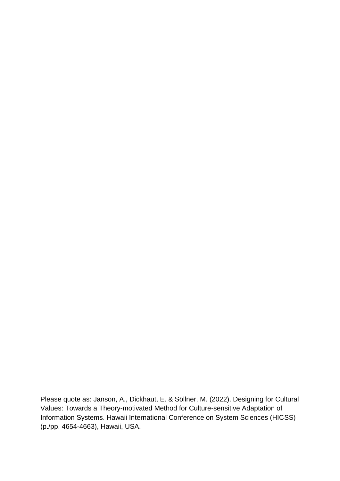Please quote as: Janson, A., Dickhaut, E. & Söllner, M. (2022). Designing for Cultural Values: Towards a Theory-motivated Method for Culture-sensitive Adaptation of Information Systems. Hawaii International Conference on System Sciences (HICSS) (p./pp. 4654-4663), Hawaii, USA.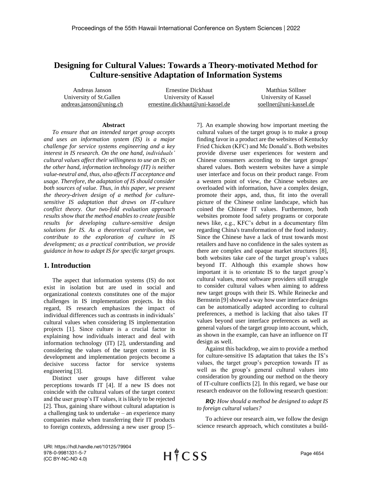# **Designing for Cultural Values: Towards a Theory-motivated Method for Culture-sensitive Adaptation of Information Systems**

Andreas Janson University of St.Gallen andreas.janson@unisg.ch

Ernestine Dickhaut University of Kassel ernestine.dickhaut@uni-kassel.de

Matthias Söllner University of Kassel soellner@uni-kassel.de

#### **Abstract**

*To ensure that an intended target group accepts and uses an information system (IS) is a major challenge for service systems engineering and a key interest in IS research. On the one hand, individuals' cultural values affect their willingness to use an IS; on the other hand, information technology (IT) is neither value-neutral and, thus, also affects IT acceptance and usage. Therefore, the adaptation of IS should consider both sources of value. Thus, in this paper, we present the theory-driven design of a method for culturesensitive IS adaptation that draws on IT-culture conflict theory. Our two-fold evaluation approach results show that the method enables to create feasible results for developing culture-sensitive design solutions for IS. As a theoretical contribution, we contribute to the exploration of culture in IS development; as a practical contribution, we provide guidance in how to adapt IS for specific target groups.*

# **1. Introduction**

The aspect that information systems (IS) do not exist in isolation but are used in social and organizational contexts constitutes one of the major challenges in IS implementation projects. In this regard, IS research emphasizes the impact of individual differences such as contrasts in individuals' cultural values when considering IS implementation projects [1]. Since culture is a crucial factor in explaining how individuals interact and deal with information technology (IT) [2], understanding and considering the values of the target context in IS development and implementation projects become a decisive success factor for service systems engineering [3].

Distinct user groups have different value perceptions towards IT [4]. If a new IS does not coincide with the cultural values of the target context and the user group's IT values, it is likely to be rejected [2]. Thus, gaining share without cultural adaptation is a challenging task to undertake – an experience many companies make when transferring their IT products to foreign contexts, addressing a new user group [5– 7]. An example showing how important meeting the cultural values of the target group is to make a group finding favor in a product are the websites of Kentucky Fried Chicken (KFC) and Mc Donald's. Both websites provide diverse user experiences for western and Chinese consumers according to the target groups' shared values. Both western websites have a simple user interface and focus on their product range. From a western point of view, the Chinese websites are overloaded with information, have a complex design, promote their apps, and, thus, fit into the overall picture of the Chinese online landscape, which has coined the Chinese IT values. Furthermore, both websites promote food safety programs or corporate news like, e.g., KFC's debut in a documentary film regarding China's transformation of the food industry. Since the Chinese have a lack of trust towards most retailers and have no confidence in the sales system as there are complex and opaque market structures [8], both websites take care of the target group's values beyond IT. Although this example shows how important it is to orientate IS to the target group's cultural values, most software providers still struggle to consider cultural values when aiming to address new target groups with their IS. While Reinecke and Bernstein [9] showed a way how user interface designs can be automatically adapted according to cultural preferences, a method is lacking that also takes IT values beyond user interface preferences as well as general values of the target group into account, which, as shown in the example, can have an influence on IT design as well.

Against this backdrop, we aim to provide a method for culture-sensitive IS adaptation that takes the IS's values, the target group's perception towards IT as well as the group's general cultural values into consideration by grounding our method on the theory of IT-culture conflicts [2]. In this regard, we base our research endeavor on the following research question:

### *RQ: How should a method be designed to adapt IS to foreign cultural values?*

To achieve our research aim, we follow the design science research approach, which constitutes a build-

URI: https://hdl.handle.net/10125/79904 978-0-9981331-5-7 (CC BY-NC-ND 4.0)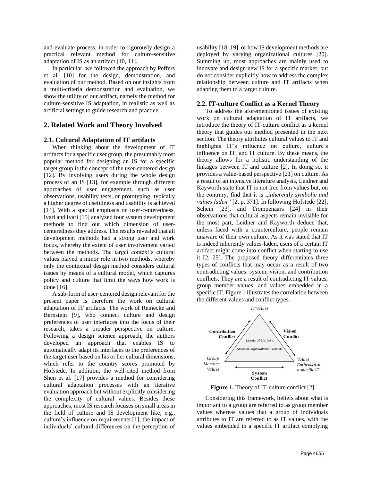and-evaluate process, in order to rigorously design a practical relevant method for culture-sensitive adaptation of IS as an artifact [10, 11].

In particular, we followed the approach by Peffers et al. [10] for the design, demonstration, and evaluation of our method. Based on our insights from a multi-criteria demonstration and evaluation, we show the utility of our artifact, namely the method for culture-sensitive IS adaptation, in realistic as well as artificial settings to guide research and practice.

# **2. Related Work and Theory Involved**

#### **2.1. Cultural Adaptation of IT artifacts**

When thinking about the development of IT artifacts for a specific user group, the presumably most popular method for designing an IS for a specific target group is the concept of the user-centered design [12]. By involving users during the whole design process of an IS [13], for example through different approaches of user engagement, such as user observations, usability tests, or prototyping, typically a higher degree of usefulness and usability is achieved [14]. With a special emphasis on user-centeredness, Ivari and Ivari [15] analyzed four system development methods to find out which dimension of usercenteredness they address. The results revealed that all development methods had a strong user and work focus, whereby the extent of user involvement varied between the methods. The target context's cultural values played a minor role in two methods, whereby only the contextual design method considers cultural issues by means of a cultural model, which captures policy and culture that limit the ways how work is done [16].

A sub-form of user-centered design relevant for the present paper is therefore the work on cultural adaptation of IT artifacts. The work of Reinecke and Bernstein [9], who connect culture and design preferences of user interfaces into the focus of their research, takes a broader perspective on culture. Following a design science approach, the authors developed an approach that enables IS to automatically adapt its interfaces to the preferences of the target user based on his or her cultural dimensions, which refer to the country scores promoted by Hofstede. In addition, the well-cited method from Shen et al. [17] provides a method for considering cultural adaptation processes with an iterative evaluation approach but without explicitly considering the complexity of cultural values. Besides these approaches, most IS research focuses on small areas in the field of culture and IS development like, e.g., culture's influence on requirements [1], the impact of individuals' cultural differences on the perception of usability [18, 19], or how IS development methods are deployed by varying organizational cultures [20]. Summing up, most approaches are mainly used to innovate and design new IS for a specific market, but do not consider explicitly how to address the complex relationship between culture and IT artifacts when adapting them to a target culture.

### **2.2. IT-culture Conflict as a Kernel Theory**

To address the aforementioned issues of existing work on cultural adaptation of IT artifacts, we introduce the theory of IT-culture conflict as a kernel theory that guides our method presented in the next section. The theory attributes cultural values to IT and highlights IT's influence on culture, culture's influence on IT, and IT culture. By these means, the theory allows for a holistic understanding of the linkages between IT and culture [2]. In doing so, it provides a value-based perspective [21] on culture. As a result of an intensive literature analysis, Leidner and Kayworth state that IT is not free from values but, on the contrary, find that it is *"inherently symbolic and values laden"* [2, p. 371]. In following Hofstede [22], Schein [23], and Trompenaars [24] in their observations that cultural aspects remain invisible for the most part, Leidner and Kayworth deduce that, unless faced with a counterculture, people remain unaware of their own culture. As it was stated that IT is indeed inherently values-laden, users of a certain IT artifact might come into conflict when starting to use it [2, 25]. The proposed theory differentiates three types of conflicts that may occur as a result of two contradicting values: system, vision, and contribution conflicts. They are a result of contradicting IT values, group member values, and values embedded in a specific IT. Figure 1 illustrates the correlation between the different values and conflict types.



**Figure 1.** Theory of IT-culture conflict [2]

Considering this framework, beliefs about what is important to a group are referred to as group member values whereas values that a group of individuals attributes to IT are referred to as IT values, with the values embedded in a specific IT artifact complying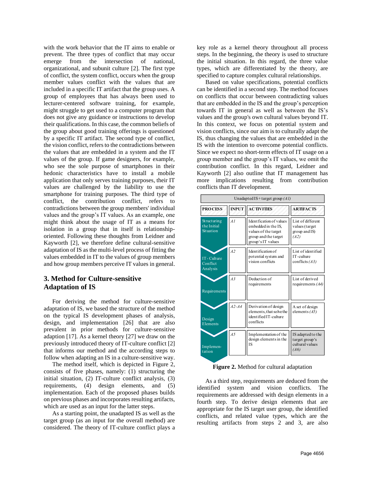with the work behavior that the IT aims to enable or prevent. The three types of conflict that may occur emerge from the intersection of national, organizational, and subunit culture [2]. The first type of conflict, the system conflict, occurs when the group member values conflict with the values that are included in a specific IT artifact that the group uses. A group of employees that has always been used to lecturer-centered software training, for example, might struggle to get used to a computer program that does not give any guidance or instructions to develop their qualifications. In this case, the common beliefs of the group about good training offerings is questioned by a specific IT artifact. The second type of conflict, the vision conflict, refers to the contradictions between the values that are embedded in a system and the IT values of the group. If game designers, for example, who see the sole purpose of smartphones in their hedonic characteristics have to install a mobile application that only serves training purposes, their IT values are challenged by the liability to use the smartphone for training purposes. The third type of conflict, the contribution conflict, refers to contradictions between the group members' individual values and the group's IT values. As an example, one might think about the usage of IT as a means for isolation in a group that in itself is relationshiporiented. Following these thoughts from Leidner and Kayworth [2], we therefore define cultural-sensitive adaptation of IS as the multi-level process of fitting the values embedded in IT to the values of group members and how group members perceive IT values in general.

# **3. Method for Culture-sensitive Adaptation of IS**

For deriving the method for culture-sensitive adaptation of IS, we based the structure of the method on the typical IS development phases of analysis, design, and implementation [26] that are also prevalent in prior methods for culture-sensitive adaption [17]. As a kernel theory [27] we draw on the previously introduced theory of IT-culture conflict [2] that informs our method and the according steps to follow when adapting an IS in a culture-sensitive way.

The method itself, which is depicted in Figure 2, consists of five phases, namely: (1) structuring the initial situation, (2) IT-culture conflict analysis, (3) requirements, (4) design elements, and (5) implementation. Each of the proposed phases builds on previous phases and incorporates resulting artifacts, which are used as an input for the latter steps.

As a starting point, the unadapted IS as well as the target group (as an input for the overall method) are considered. The theory of IT-culture conflict plays a key role as a kernel theory throughout all process steps. In the beginning, the theory is used to structure the initial situation. In this regard, the three value types, which are differentiated by the theory, are specified to capture complex cultural relationships.

Based on value specifications, potential conflicts can be identified in a second step. The method focuses on conflicts that occur between contradicting values that are embedded in the IS and the group's perception towards IT in general as well as between the IS's values and the group's own cultural values beyond IT. In this context, we focus on potential system and vision conflicts, since our aim is to culturally adapt the IS, thus changing the values that are embedded in the IS with the intention to overcome potential conflicts. Since we expect no short-term effects of IT usage on a group member and the group's IT values, we omit the contribution conflict. In this regard, Leidner and Kayworth [2] also outline that IT management has more implications resulting from contribution conflicts than IT development.

| Unadapted IS + target group $(AI)$      |                 |                                                                                                                      |                                                                |  |  |
|-----------------------------------------|-----------------|----------------------------------------------------------------------------------------------------------------------|----------------------------------------------------------------|--|--|
| <b>PROCESS</b>                          | <b>INPUT</b>    | <b>ACTIVITIES</b>                                                                                                    | <b>ARTIFACTS</b>                                               |  |  |
| Structuring<br>the Initial<br>Situation | $\overline{A}$  | Ident fication of values<br>embedded in the IS.<br>values of the target<br>group and the target<br>group's IT values | List of different<br>values (target<br>group and IS)<br>(A2)   |  |  |
| IT-Culture<br>Conflict<br>Analysis      | A2              | Identification of<br>potential system and<br>vision conflicts                                                        | List of identified<br>IT-culture<br>conflicts $(A3)$           |  |  |
| Requirements                            | $\overline{A}3$ | Deduction of<br>requirements                                                                                         | List of derived<br>requirements $(A4)$                         |  |  |
| Design<br>Elements                      | $A2 - A4$       | Derivation of design<br>elements, that solve the<br>identified IT-culture<br>conflicts                               | A set of design<br>elements $(A5)$                             |  |  |
| Implemen-<br>tation                     | A.5             | Implementation of the<br>design elements in the<br><b>IS</b>                                                         | IS adapted to the<br>target group's<br>cultural values<br>(A6) |  |  |

**Figure 2.** Method for cultural adaptation

As a third step, requirements are deduced from the identified system and vision conflicts. The requirements are addressed with design elements in a fourth step. To derive design elements that are appropriate for the IS target user group, the identified conflicts, and related value types, which are the resulting artifacts from steps 2 and 3, are also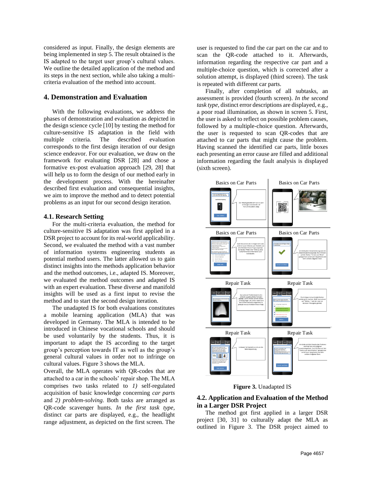considered as input. Finally, the design elements are being implemented in step 5. The result obtained is the IS adapted to the target user group's cultural values. We outline the detailed application of the method and its steps in the next section, while also taking a multicriteria evaluation of the method into account.

# **4. Demonstration and Evaluation**

With the following evaluations, we address the phases of demonstration and evaluation as depicted in the design science cycle [10] by testing the method for culture-sensitive IS adaptation in the field with multiple criteria. The described evaluation corresponds to the first design iteration of our design science endeavor. For our evaluation, we draw on the framework for evaluating DSR [28] and chose a formative ex-post evaluation approach [29, 28] that will help us to form the design of our method early in the development process. With the hereinafter described first evaluation and consequential insights, we aim to improve the method and to detect potential problems as an input for our second design iteration.

#### **4.1. Research Setting**

For the multi-criteria evaluation, the method for culture-sensitive IS adaptation was first applied in a DSR project to account for its real-world applicability. Second, we evaluated the method with a vast number of information systems engineering students as potential method users. The latter allowed us to gain distinct insights into the methods application behavior and the method outcomes, i.e., adapted IS. Moreover, we evaluated the method outcomes and adapted IS with an expert evaluation. These diverse and manifold insights will be used as a first input to revise the method and to start the second design iteration.

The unadapted IS for both evaluations constitutes a mobile learning application (MLA) that was developed in Germany. The MLA is intended to be introduced in Chinese vocational schools and should be used voluntarily by the students. Thus, it is important to adapt the IS according to the target group's perception towards IT as well as the group's general cultural values in order not to infringe on cultural values. Figure 3 shows the MLA.

Overall, the MLA operates with QR-codes that are attached to a car in the schools' repair shop. The MLA comprises two tasks related to *1)* self-regulated acquisition of basic knowledge concerning *car parts*  and *2) problem-solving.* Both tasks are arranged as QR-code scavenger hunts. *In the first task type,* distinct car parts are displayed, e.g., the headlight range adjustment, as depicted on the first screen. The

user is requested to find the car part on the car and to scan the QR-code attached to it. Afterwards, information regarding the respective car part and a multiple-choice question, which is corrected after a solution attempt, is displayed (third screen). The task is repeated with different car parts.

Finally, after completion of all subtasks, an assessment is provided (fourth screen). *In the second task type,* distinct error descriptions are displayed, e.g., a poor road illumination, as shown in screen 5. First, the user is asked to reflect on possible problem causes, followed by a multiple-choice question. Afterwards, the user is requested to scan QR-codes that are attached to car parts that might cause the problem. Having scanned the identified car parts, little boxes each presenting an error cause are filled and additional information regarding the fault analysis is displayed (sixth screen).



**Figure 3.** Unadapted IS

# **4.2. Application and Evaluation of the Method in a Larger DSR Project**

The method got first applied in a larger DSR project [30, 31] to culturally adapt the MLA as outlined in Figure 3. The DSR project aimed to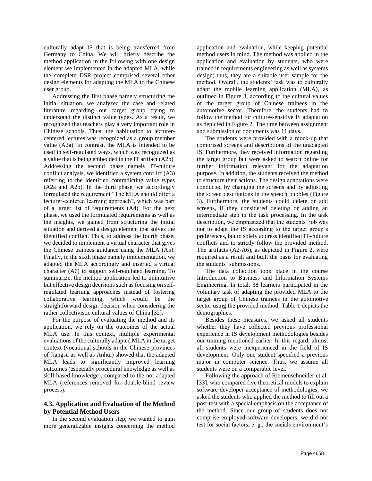culturally adapt IS that is being transferred from Germany to China. We will briefly describe the method application in the following with one design element we implemented in the adapted MLA, while the complete DSR project comprised several other design elements for adapting the MLA to the Chinese user group.

Addressing the first phase namely structuring the initial situation, we analyzed the case and related literature regarding our target group trying to understand the distinct value types. As a result, we recognized that teachers play a very important role in Chinese schools. Thus, the habituation to lecturercentered lectures was recognized as a group member value (A2a). In contrast, the MLA is intended to be used in self-regulated ways, which was recognized as a value that is being embedded in the IT artifact (A2b). Addressing the second phase namely IT-culture conflict analysis, we identified a system conflict (A3) referring to the identified contradicting value types (A2a and A2b). In the third phase, we accordingly formulated the requirement "The MLA should offer a lecturer-centered learning approach", which was part of a larger list of requirements (A4). For the next phase, we used the formulated requirements as well as the insights, we gained from structuring the initial situation and derived a design element that solves the identified conflict. Thus, to address the fourth phase, we decided to implement a virtual character that gives the Chinese trainees guidance using the MLA (A5). Finally, in the sixth phase namely implementation, we adapted the MLA accordingly and inserted a virtual character (A6) to support self-regulated learning. To summarize, the method application led to unintuitive but effective design decisions such as focusing on selfregulated learning approaches instead of fostering collaborative learning, which would be the straightforward design decision when considering the rather collectivistic cultural values of China [32].

For the purpose of evaluating the method and its application, we rely on the outcomes of the actual MLA use. In this context, multiple experimental evaluations of the culturally adapted MLA in the target context (vocational schools in the Chinese provinces of Jiangsu as well as Anhui) showed that the adapted MLA leads to significantly improved learning outcomes (especially procedural knowledge as well as skill-based knowledge), compared to the not adapted MLA (references removed for double-blind review process).

# **4.3. Application and Evaluation of the Method by Potential Method Users**

In the second evaluation step, we wanted to gain more generalizable insights concerning the method

application and evaluation, while keeping potential method users in mind. The method was applied in the application and evaluation by students, who were trained in requirements engineering as well as systems design; thus, they are a suitable user sample for the method. Overall, the students' task was to culturally adapt the mobile learning application (MLA), as outlined in Figure 3, according to the cultural values of the target group of Chinese trainees in the automotive sector. Therefore, the students had to follow the method for culture-sensitive IS adaptation as depicted in Figure 2. The time between assignment and submission of documents was 11 days.

The students were provided with a mock-up that comprised screens and descriptions of the unadapted IS. Furthermore, they received information regarding the target group but were asked to search online for further information relevant for the adaptation purpose. In addition, the students received the method to structure their actions. The design adaptations were conducted by changing the screens and by adjusting the screen descriptions in the speech bubbles (Figure 3). Furthermore, the students could delete or add screens, if they considered deleting or adding an intermediate step in the task processing. In the task description, we emphasized that the students' job was not to adapt the IS according to the target group's preferences, but to solely address identified IT-culture conflicts and to strictly follow the provided method. The artifacts (A2-A6), as depicted in Figure 2, were required as a result and built the basis for evaluating the students' submissions.

The data collection took place in the course Introduction to Business and Information Systems Engineering. In total, 38 learners participated in the voluntary task of adapting the provided MLA to the target group of Chinese trainees in the automotive sector using the provided method. [Table 1](#page-6-0) depicts the demographics.

Besides these measures, we asked all students whether they have collected previous professional experience in IS development methodologies besides our training mentioned earlier. In this regard, almost all students were inexperienced in the field of IS development. Only one student specified a previous major in computer science. Thus, we assume all students were on a comparable level.

Following the approach of Riemenschneider et al. [33], who compared five theoretical models to explain software developer acceptance of methodologies, we asked the students who applied the method to fill out a post-test with a special emphasis on the acceptance of the method. Since our group of students does not comprise employed software developers, we did not test for social factors, e. g., the socials environment's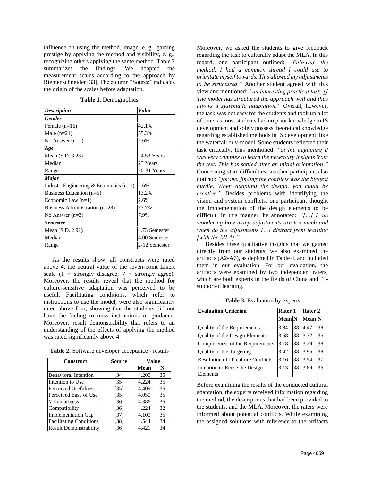influence on using the method, image, e. g., gaining prestige by applying the method and visibility, e. g., recognizing others applying the same method. Table 2 summarizes the findings. We adapted the measurement scales according to the approach by Riemenschneider [33]. The column "Source" indicates the origin of the scales before adaptation.

**Table 1.** Demographics

<span id="page-6-0"></span>

| <b>Description</b>                       | Value         |
|------------------------------------------|---------------|
| <b>Gender</b>                            |               |
| Female $(n=16)$                          | 42.1%         |
| Male $(n=21)$                            | 55.3%         |
| No Answer $(n=1)$                        | 2.6%          |
| Age                                      |               |
| Mean (S.D. 3.28)                         | 24.53 Years   |
| Median                                   | 23 Years      |
| Range                                    | 20-31 Years   |
| Major                                    |               |
| Industr. Engineering & Economics $(n=1)$ | 2.6%          |
| Business Education $(n=5)$               | 13.2%         |
| Economic Law $(n=1)$                     | 2.6%          |
| Business Administration $(n=28)$         | 73.7%         |
| No Answer $(n=3)$                        | 7.9%          |
| <b>Semester</b>                          |               |
| Mean $(S.D. 2.91)$                       | 4.73 Semester |
| Median                                   | 4.00 Semester |
| Range                                    | 2-12 Semester |

As the results show, all constructs were rated above 4, the neutral value of the seven-point Likert scale (1 = strongly disagree;  $7$  = strongly agree). Moreover, the results reveal that the method for culture-sensitive adaptation was perceived to be useful. Facilitating conditions, which refer to instructions to use the model, were also significantly rated above four, showing that the students did not have the feeling to miss instructions or guidance. Moreover, result demonstrability that refers to an understanding of the effects of applying the method was rated significantly above 4.

**Table 2.** Software developer acceptance - results

| <b>Construct</b>               | <b>Source</b> | <b>Value</b> |    |
|--------------------------------|---------------|--------------|----|
|                                |               | Mean         | N  |
| <b>Behavioral Intention</b>    | [34]          | 4.200        | 35 |
| Intention to Use               | [35]          | 4.224        | 35 |
| Perceived Usefulness           | [35]          | 4.409        | 35 |
| Perceived Ease of Use          | [35]          | 4.050        | 35 |
| Voluntariness                  | $[36]$        | 4.386        | 35 |
| Compatibility                  | [36]          | 4.224        | 32 |
| <b>Implementation Gap</b>      | [37]          | 4.100        | 35 |
| <b>Facilitating Conditions</b> | [38]          | 4.544        | 34 |
| <b>Result Demonstrability</b>  | [36]          | 4.421        | 34 |

Moreover, we asked the students to give feedback regarding the task to culturally adapt the MLA. In this regard, one participant outlined: *"following the method, I had a common thread I could use to orientate myself towards. This allowed my adjustments to be structured."* Another student agreed with this view and mentioned: *"an interesting practical task. [] The model has structured the approach well and thus allows a systematic adaptation."* Overall, however, the task was not easy for the students and took up a lot of time, as most students had no prior knowledge in IS development and solely possess theoretical knowledge regarding established methods in IS development, like the waterfall or v-model. Some students reflected their task critically, thus mentioned: *"at the beginning it was very complex to learn the necessary insights from the text. This has settled after an initial orientation*.*"* Concerning start difficulties, another participant also noticed: *"for me, finding the conflicts was the biggest hurdle. When adapting the design, you could be creative."* Besides problems with identifying the vision and system conflicts, one participant thought the implementation of the design elements to be difficult. In this manner, he annotated: *"[…] I am wondering how many adjustments are too much and when do the adjustments […] distract from learning [with the MLA]."* 

Besides these qualitative insights that we gained directly from our students, we also examined the artifacts (A2-A6), as depicted in Table 4, and included them in our evaluation. For our evaluation, the artifacts were examined by two independent raters, which are both experts in the fields of China and ITsupported learning.

|  | <b>Table 3.</b> Evaluation by experts |  |  |
|--|---------------------------------------|--|--|
|--|---------------------------------------|--|--|

<span id="page-6-1"></span>

| <b>Evaluation Criterion</b>               | Rater 1       |    | Rater 2       |    |
|-------------------------------------------|---------------|----|---------------|----|
|                                           | <b>Mean</b> N |    | <b>Mean</b> N |    |
| Quality of the Requirements               | 3.84          | 38 | 4.47          | 38 |
| Quality of the Design Elements            | 3.58          | 38 | 3.72          | 36 |
| Completeness of the Requirements          | 3.18          | 38 | 3.29          | 38 |
| Quality of the Targeting                  | 3.42          | 38 | 3.95          | 38 |
| <b>Resolution of IT-culture Conflicts</b> | 3.16          | 38 | 3.54          | 37 |
| Intention to Reuse the Design<br>Elements | 3.13          | 38 | 3.89          | 36 |

Before examining the results of the conducted cultural adaptation, the experts received information regarding the method, the descriptions that had been provided to the students, and the MLA. Moreover, the raters were informed about potential conflicts. While examining the assigned solutions with reference to the artifacts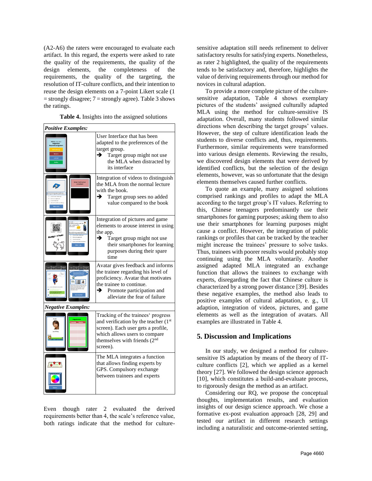(A2-A6) the raters were encouraged to evaluate each artifact. In this regard, the experts were asked to rate the quality of the requirements, the quality of the design elements, the completeness of the requirements, the quality of the targeting, the resolution of IT-culture conflicts, and their intention to reuse the design elements on a 7-point Likert scale (1  $=$  strongly disagree;  $7 =$  strongly agree)[. Table 3](#page-6-1) shows the ratings.

|  |  | Table 4. Insights into the assigned solutions |
|--|--|-----------------------------------------------|
|  |  |                                               |

| <b>Positive Examples:</b> |                                                                                                                                                                                                               |  |  |  |
|---------------------------|---------------------------------------------------------------------------------------------------------------------------------------------------------------------------------------------------------------|--|--|--|
|                           | User Interface that has been<br>adapted to the preferences of the<br>target group.<br>Target group might not use<br>→<br>the MLA when distracted by<br>its interface                                          |  |  |  |
|                           | Integration of videos to distinguish<br>the MLA from the normal lecture<br>with the book.<br>→<br>Target group sees no added<br>value compared to the book                                                    |  |  |  |
|                           | Integration of pictures and game<br>elements to arouse interest in using<br>the app.<br>→<br>Target group might not use<br>their smartphones for learning<br>purposes during their spare<br>time              |  |  |  |
|                           | Avatar gives feedback and informs<br>the trainee regarding his level of<br>proficiency. Avatar that motivates<br>the trainee to continue.<br>Promote participation and<br>→<br>alleviate the fear of failure  |  |  |  |
| <b>Negative Examples:</b> |                                                                                                                                                                                                               |  |  |  |
|                           | Tracking of the trainees' progress<br>and verification by the teacher (1 <sup>st</sup> )<br>screen). Each user gets a profile,<br>which allows users to compare<br>themselves with friends $(2nd$<br>screen). |  |  |  |
|                           | The MLA integrates a function<br>that allows finding experts by<br>GPS. Compulsory exchange<br>between trainees and experts                                                                                   |  |  |  |

Even though rater 2 evaluated the derived requirements better than 4, the scale's reference value, both ratings indicate that the method for culturesensitive adaptation still needs refinement to deliver satisfactory results for satisfying experts. Nonetheless, as rater 2 highlighted, the quality of the requirements tends to be satisfactory and, therefore, highlights the value of deriving requirements through our method for novices in cultural adaption.

To provide a more complete picture of the culturesensitive adaptation, Table 4 shows exemplary pictures of the students' assigned culturally adapted MLA using the method for culture-sensitive IS adaptation. Overall, many students followed similar directions when describing the target groups' values. However, the step of culture identification leads the students to diverse conflicts and, thus, requirements. Furthermore, similar requirements were transformed into various design elements. Reviewing the results, we discovered design elements that were derived by identified conflicts, but the selection of the design elements, however, was so unfortunate that the design elements themselves caused further conflicts.

To quote an example, many assigned solutions comprised rankings and profiles to adapt the MLA according to the target group's IT values. Referring to this, Chinese teenagers predominantly use their smartphones for gaming purposes; asking them to also use their smartphones for learning purposes might cause a conflict. However, the integration of public rankings or profiles that can be tracked by the teacher might increase the trainees' pressure to solve tasks. Thus, trainees with poorer results would probably stop continuing using the MLA voluntarily. Another assigned adapted MLA integrated an exchange function that allows the trainees to exchange with experts, disregarding the fact that Chinese culture is characterized by a strong power distance [39]. Besides these negative examples, the method also leads to positive examples of cultural adaptation, e. g., UI adaption, integration of videos, pictures, and game elements as well as the integration of avatars. All examples are illustrated in Table 4.

# **5. Discussion and Implications**

In our study, we designed a method for culturesensitive IS adaptation by means of the theory of ITculture conflicts [2], which we applied as a kernel theory [27]. We followed the design science approach [10], which constitutes a build-and-evaluate process, to rigorously design the method as an artifact.

Considering our RQ, we propose the conceptual thoughts, implementation results, and evaluation insights of our design science approach. We chose a formative ex-post evaluation approach [28, 29] and tested our artifact in different research settings including a naturalistic and outcome-oriented setting,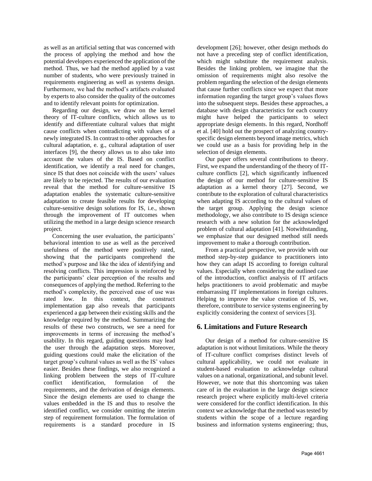as well as an artificial setting that was concerned with the process of applying the method and how the potential developers experienced the application of the method. Thus, we had the method applied by a vast number of students, who were previously trained in requirements engineering as well as systems design. Furthermore, we had the method's artifacts evaluated by experts to also consider the quality of the outcomes and to identify relevant points for optimization.

Regarding our design, we draw on the kernel theory of IT-culture conflicts, which allows us to identify and differentiate cultural values that might cause conflicts when contradicting with values of a newly integrated IS. In contrast to other approaches for cultural adaptation, e. g., cultural adaptation of user interfaces [9], the theory allows us to also take into account the values of the IS. Based on conflict identification, we identify a real need for changes, since IS that does not coincide with the users' values are likely to be rejected. The results of our evaluation reveal that the method for culture-sensitive IS adaptation enables the systematic culture-sensitive adaptation to create feasible results for developing culture-sensitive design solutions for IS, i.e., shown through the improvement of IT outcomes when utilizing the method in a large design science research project.

Concerning the user evaluation, the participants' behavioral intention to use as well as the perceived usefulness of the method were positively rated, showing that the participants comprehend the method's purpose and like the idea of identifying and resolving conflicts. This impression is reinforced by the participants' clear perception of the results and consequences of applying the method. Referring to the method's complexity, the perceived ease of use was rated low. In this context, the construct implementation gap also reveals that participants experienced a gap between their existing skills and the knowledge required by the method. Summarizing the results of these two constructs, we see a need for improvements in terms of increasing the method's usability. In this regard, guiding questions may lead the user through the adaptation steps. Moreover, guiding questions could make the elicitation of the target group's cultural values as well as the IS' values easier. Besides these findings, we also recognized a linking problem between the steps of IT-culture conflict identification, formulation of the requirements, and the derivation of design elements. Since the design elements are used to change the values embedded in the IS and thus to resolve the identified conflict, we consider omitting the interim step of requirement formulation. The formulation of requirements is a standard procedure in IS development [26]; however, other design methods do not have a preceding step of conflict identification, which might substitute the requirement analysis. Besides the linking problem, we imagine that the omission of requirements might also resolve the problem regarding the selection of the design elements that cause further conflicts since we expect that more information regarding the target group's values flows into the subsequent steps. Besides these approaches, a database with design characteristics for each country might have helped the participants to select appropriate design elements. In this regard, Nordhoff et al. [40] hold out the prospect of analyzing countryspecific design elements beyond image metrics, which we could use as a basis for providing help in the selection of design elements.

Our paper offers several contributions to theory. First, we expand the understanding of the theory of ITculture conflicts [2], which significantly influenced the design of our method for culture-sensitive IS adaptation as a kernel theory [27]. Second, we contribute to the exploration of cultural characteristics when adapting IS according to the cultural values of the target group. Applying the design science methodology, we also contribute to IS design science research with a new solution for the acknowledged problem of cultural adaptation [41]. Notwithstanding, we emphasize that our designed method still needs improvement to make a thorough contribution.

From a practical perspective, we provide with our method step-by-step guidance to practitioners into how they can adapt IS according to foreign cultural values. Especially when considering the outlined case of the introduction, conflict analysis of IT artifacts helps practitioners to avoid problematic and maybe embarrassing IT implementations in foreign cultures. Helping to improve the value creation of IS, we, therefore, contribute to service systems engineering by explicitly considering the context of services [3].

# **6. Limitations and Future Research**

Our design of a method for culture-sensitive IS adaptation is not without limitations. While the theory of IT-culture conflict comprises distinct levels of cultural applicability, we could not evaluate in student-based evaluation to acknowledge cultural values on a national, organizational, and subunit level. However, we note that this shortcoming was taken care of in the evaluation in the large design science research project where explicitly multi-level criteria were considered for the conflict identification. In this context we acknowledge that the method was tested by students within the scope of a lecture regarding business and information systems engineering; thus,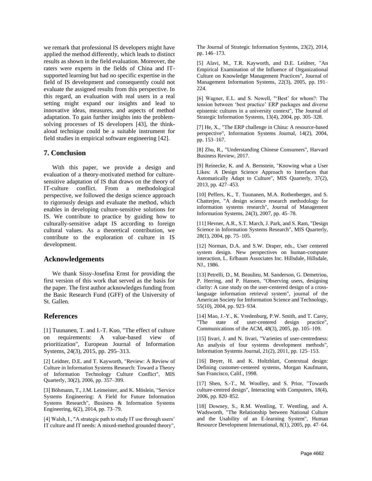we remark that professional IS developers might have applied the method differently, which leads to distinct results as shown in the field evaluation. Moreover, the raters were experts in the fields of China and ITsupported learning but had no specific expertise in the field of IS development and consequently could not evaluate the assigned results from this perspective. In this regard, an evaluation with real users in a real setting might expand our insights and lead to innovative ideas, measures, and aspects of method adaptation. To gain further insights into the problemsolving processes of IS developers [43], the thinkaloud technique could be a suitable instrument for field studies in empirical software engineering [42].

# **7. Conclusion**

With this paper, we provide a design and evaluation of a theory-motivated method for culturesensitive adaptation of IS that draws on the theory of IT-culture conflict. From a methodological perspective, we followed the design science approach to rigorously design and evaluate the method, which enables in developing culture-sensitive solutions for IS. We contribute to practice by guiding how to culturally-sensitive adapt IS according to foreign cultural values. As a theoretical contribution, we contribute to the exploration of culture in IS development.

### **Acknowledgements**

We thank Sissy-Josefina Ernst for providing the first version of this work that served as the basis for the paper. The first author acknowledges funding from the Basic Research Fund (GFF) of the University of St. Gallen.

#### **References**

[1] Tuunanen, T. and I.-T. Kuo, "The effect of culture on requirements: A value-based view of prioritization", European Journal of Information Systems, 24(3), 2015, pp. 295–313.

[2] Leidner, D.E. and T. Kayworth, "Review: A Review of Culture in Information Systems Research: Toward a Theory of Information Technology Culture Conflict", MIS Quarterly, 30(2), 2006, pp. 357–399.

[3] Böhmann, T., J.M. Leimeister, and K. Möslein, "Service Systems Engineering: A Field for Future Information Systems Research", Business & Information Systems Engineering, 6(2), 2014, pp. 73–79.

[4] Walsh, I., "A strategic path to study IT use through users' IT culture and IT needs: A mixed-method grounded theory", The Journal of Strategic Information Systems, 23(2), 2014, pp. 146–173.

[5] Alavi, M., T.R. Kayworth, and D.E. Leidner, "An Empirical Examination of the Influence of Organizational Culture on Knowledge Management Practices", Journal of Management Information Systems, 22(3), 2005, pp. 191– 224.

[6] Wagner, E.L. and S. Newell, "'Best' for whom?: The tension between 'best practice' ERP packages and diverse epistemic cultures in a university context", The Journal of Strategic Information Systems, 13(4), 2004, pp. 305–328.

[7] He, X., "The ERP challenge in China: A resource-based perspective", Information Systems Journal, 14(2), 2004, pp. 153–167.

[8] Zhu, R., "Understanding Chinese Consumers", Harvard Business Review, 2017.

[9] Reinecke, K. and A. Bernstein, "Knowing what a User Likes: A Design Science Approach to Interfaces that Automatically Adapt to Culture", MIS Quarterly, 37(2), 2013, pp. 427–453.

[10] Peffers, K., T. Tuunanen, M.A. Rothenberger, and S. Chatterjee, "A design science research methodology for information systems research", Journal of Management Information Systems, 24(3), 2007, pp. 45–78.

[11] Hevner, A.R., S.T. March, J. Park, and S. Ram, "Design Science in Information Systems Research", MIS Quarterly, 28(1), 2004, pp. 75–105.

[12] Norman, D.A. and S.W. Draper, eds., User centered system design. New perspectives on human-computer interaction, L. Erlbaum Associates Inc. Hillsdale, Hillsdale, NJ., 1986.

[13] Petrelli, D., M. Beaulieu, M. Sanderson, G. Demetriou, P. Herring, and P. Hansen, "Observing users, designing clarity: A case study on the user-centered design of a crosslanguage information retrieval system", journal of the American Society for Imformation Science and Technology, 55(10), 2004, pp. 923–934.

[14] Mao, J.-Y., K. Vredenburg, P.W. Smith, and T. Carey, "The state of user-centered design practice", Communications of the ACM, 48(3), 2005, pp. 105–109.

[15] Iivari, J. and N. Iivari, "Varieties of user-centredness: An analysis of four systems development methods", Information Systems Journal, 21(2), 2011, pp. 125–153.

[16] Beyer, H. and K. Holtzblatt, Contextual design: Defining customer-centered systems, Morgan Kaufmann, San Francisco, Calif., 1998.

[17] Shen, S.-T., M. Woolley, and S. Prior, "Towards culture-centred design", Interacting with Computers, 18(4), 2006, pp. 820–852.

[18] Downey, S., R.M. Wentling, T. Wentling, and A. Wadsworth, "The Relationship between National Culture and the Usability of an E-learning System", Human Resource Development International, 8(1), 2005, pp. 47–64.